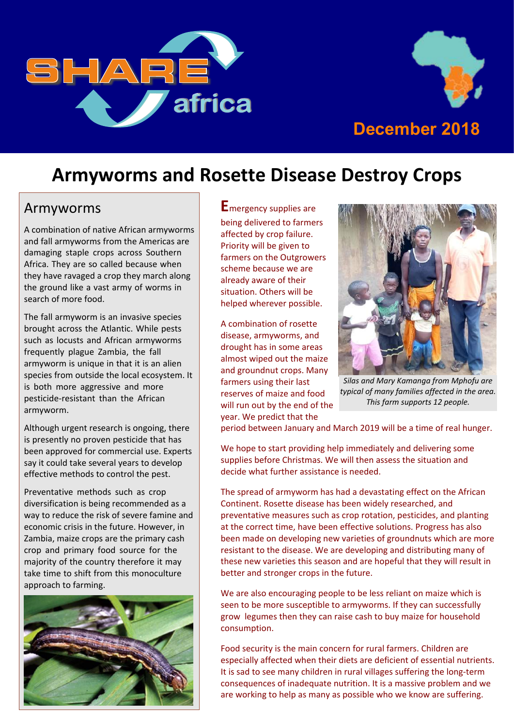



### **Armyworms and Rosette Disease Destroy Crops**

#### Armyworms

A combination of native African armyworms and fall armyworms from the Americas are damaging staple crops across Southern Africa. They are so called because when they have ravaged a crop they march along the ground like a vast army of worms in search of more food.

The fall armyworm is an invasive species brought across the Atlantic. While pests such as locusts and African armyworms frequently plague Zambia, the fall armyworm is unique in that it is an alien species from outside the local ecosystem. It is both more aggressive and more pesticide-resistant than the African armyworm.

Although urgent research is ongoing, there is presently no proven pesticide that has been approved for commercial use. Experts say it could take several years to develop effective methods to control the pest.

Preventative methods such as crop diversification is being recommended as a way to reduce the risk of severe famine and economic crisis in the future. However, in Zambia, maize crops are the primary cash crop and primary food source for the majority of the country therefore it may take time to shift from this monoculture approach to farming.



**E**mergency supplies are being delivered to farmers affected by crop failure. Priority will be given to farmers on the Outgrowers scheme because we are already aware of their situation. Others will be helped wherever possible.

A combination of rosette disease, armyworms, and drought has in some areas almost wiped out the maize and groundnut crops. Many farmers using their last reserves of maize and food will run out by the end of the year. We predict that the



*Silas and Mary Kamanga from Mphofu are typical of many families affected in the area. This farm supports 12 people.*

period between January and March 2019 will be a time of real hunger.

We hope to start providing help immediately and delivering some supplies before Christmas. We will then assess the situation and decide what further assistance is needed.

The spread of armyworm has had a devastating effect on the African Continent. Rosette disease has been widely researched, and preventative measures such as crop rotation, pesticides, and planting at the correct time, have been effective solutions. Progress has also been made on developing new varieties of groundnuts which are more resistant to the disease. We are developing and distributing many of these new varieties this season and are hopeful that they will result in better and stronger crops in the future.

We are also encouraging people to be less reliant on maize which is seen to be more susceptible to armyworms. If they can successfully grow legumes then they can raise cash to buy maize for household consumption.

Food security is the main concern for rural farmers. Children are especially affected when their diets are deficient of essential nutrients. It is sad to see many children in rural villages suffering the long-term consequences of inadequate nutrition. It is a massive problem and we are working to help as many as possible who we know are suffering.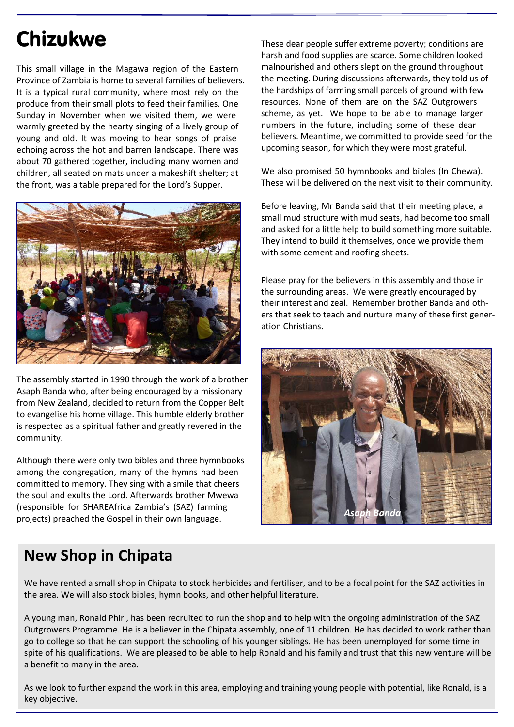# Chizukwe

This small village in the Magawa region of the Eastern Province of Zambia is home to several families of believers. It is a typical rural community, where most rely on the produce from their small plots to feed their families. One Sunday in November when we visited them, we were warmly greeted by the hearty singing of a lively group of young and old. It was moving to hear songs of praise echoing across the hot and barren landscape. There was about 70 gathered together, including many women and children, all seated on mats under a makeshift shelter; at the front, was a table prepared for the Lord's Supper.



The assembly started in 1990 through the work of a brother Asaph Banda who, after being encouraged by a missionary from New Zealand, decided to return from the Copper Belt to evangelise his home village. This humble elderly brother is respected as a spiritual father and greatly revered in the community.

Although there were only two bibles and three hymnbooks among the congregation, many of the hymns had been committed to memory. They sing with a smile that cheers the soul and exults the Lord. Afterwards brother Mwewa (responsible for SHAREAfrica Zambia's (SAZ) farming projects) preached the Gospel in their own language.

These dear people suffer extreme poverty; conditions are harsh and food supplies are scarce. Some children looked malnourished and others slept on the ground throughout the meeting. During discussions afterwards, they told us of the hardships of farming small parcels of ground with few resources. None of them are on the SAZ Outgrowers scheme, as yet. We hope to be able to manage larger numbers in the future, including some of these dear believers. Meantime, we committed to provide seed for the upcoming season, for which they were most grateful.

We also promised 50 hymnbooks and bibles (In Chewa). These will be delivered on the next visit to their community.

Before leaving, Mr Banda said that their meeting place, a small mud structure with mud seats, had become too small and asked for a little help to build something more suitable. They intend to build it themselves, once we provide them with some cement and roofing sheets.

Please pray for the believers in this assembly and those in the surrounding areas. We were greatly encouraged by their interest and zeal. Remember brother Banda and others that seek to teach and nurture many of these first generation Christians.



#### **New Shop in Chipata**

We have rented a small shop in Chipata to stock herbicides and fertiliser, and to be a focal point for the SAZ activities in the area. We will also stock bibles, hymn books, and other helpful literature.

A young man, Ronald Phiri, has been recruited to run the shop and to help with the ongoing administration of the SAZ Outgrowers Programme. He is a believer in the Chipata assembly, one of 11 children. He has decided to work rather than go to college so that he can support the schooling of his younger siblings. He has been unemployed for some time in spite of his qualifications. We are pleased to be able to help Ronald and his family and trust that this new venture will be a benefit to many in the area.

As we look to further expand the work in this area, employing and training young people with potential, like Ronald, is a key objective.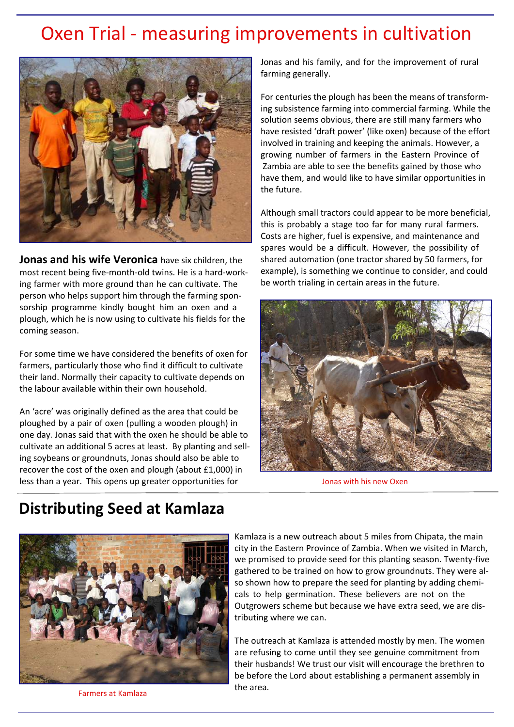### Oxen Trial - measuring improvements in cultivation



**Jonas and his wife Veronica** have six children, the most recent being five-month-old twins. He is a hard-working farmer with more ground than he can cultivate. The person who helps support him through the farming sponsorship programme kindly bought him an oxen and a plough, which he is now using to cultivate his fields for the coming season.

For some time we have considered the benefits of oxen for farmers, particularly those who find it difficult to cultivate their land. Normally their capacity to cultivate depends on the labour available within their own household.

An 'acre' was originally defined as the area that could be ploughed by a pair of oxen (pulling a wooden plough) in one day. Jonas said that with the oxen he should be able to cultivate an additional 5 acres at least. By planting and selling soybeans or groundnuts, Jonas should also be able to recover the cost of the oxen and plough (about £1,000) in less than a year. This opens up greater opportunities for

Jonas and his family, and for the improvement of rural farming generally.

For centuries the plough has been the means of transforming subsistence farming into commercial farming. While the solution seems obvious, there are still many farmers who have resisted 'draft power' (like oxen) because of the effort involved in training and keeping the animals. However, a growing number of farmers in the Eastern Province of Zambia are able to see the benefits gained by those who have them, and would like to have similar opportunities in the future.

Although small tractors could appear to be more beneficial, this is probably a stage too far for many rural farmers. Costs are higher, fuel is expensive, and maintenance and spares would be a difficult. However, the possibility of shared automation (one tractor shared by 50 farmers, for example), is something we continue to consider, and could be worth trialing in certain areas in the future.



Jonas with his new Oxen

#### **Distributing Seed at Kamlaza**



Kamlaza is a new outreach about 5 miles from Chipata, the main city in the Eastern Province of Zambia. When we visited in March, we promised to provide seed for this planting season. Twenty-five gathered to be trained on how to grow groundnuts. They were also shown how to prepare the seed for planting by adding chemicals to help germination. These believers are not on the Outgrowers scheme but because we have extra seed, we are distributing where we can.

The outreach at Kamlaza is attended mostly by men. The women are refusing to come until they see genuine commitment from their husbands! We trust our visit will encourage the brethren to be before the Lord about establishing a permanent assembly in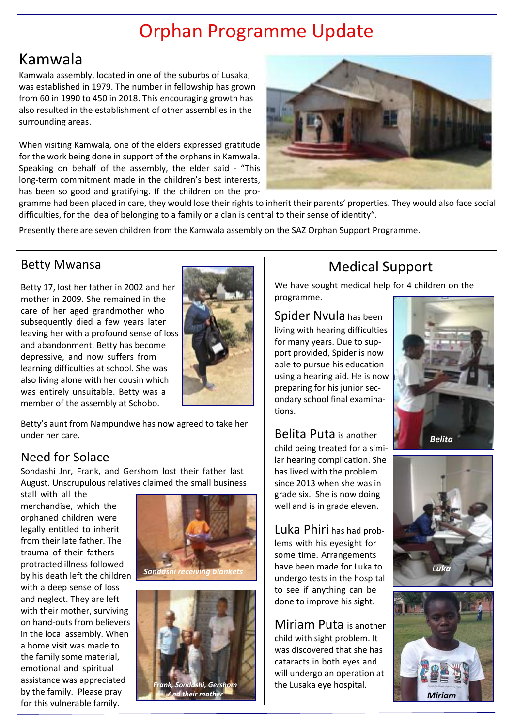# Orphan Programme Update

### Kamwala

Kamwala assembly, located in one of the suburbs of Lusaka, was established in 1979. The number in fellowship has grown from 60 in 1990 to 450 in 2018. This encouraging growth has also resulted in the establishment of other assemblies in the surrounding areas.

When visiting Kamwala, one of the elders expressed gratitude for the work being done in support of the orphans in Kamwala. Speaking on behalf of the assembly, the elder said - "This long-term commitment made in the children's best interests, has been so good and gratifying. If the children on the pro-



gramme had been placed in care, they would lose their rights to inherit their parents' properties. They would also face social difficulties, for the idea of belonging to a family or a clan is central to their sense of identity".

Presently there are seven children from the Kamwala assembly on the SAZ Orphan Support Programme.

#### Betty Mwansa

Betty 17, lost her father in 2002 and her mother in 2009. She remained in the care of her aged grandmother who subsequently died a few years later leaving her with a profound sense of loss and abandonment. Betty has become depressive, and now suffers from learning difficulties at school. She was also living alone with her cousin which was entirely unsuitable. Betty was a member of the assembly at Schobo.



Betty's aunt from Nampundwe has now agreed to take her under her care.

#### Need for Solace

Sondashi Jnr, Frank, and Gershom lost their father last August. Unscrupulous relatives claimed the small business

stall with all the merchandise, which the orphaned children were legally entitled to inherit from their late father. The trauma of their fathers protracted illness followed by his death left the children with a deep sense of loss and neglect. They are left with their mother, surviving on hand-outs from believers in the local assembly. When a home visit was made to the family some material, emotional and spiritual assistance was appreciated by the family. Please pray for this vulnerable family.





### Medical Support

We have sought medical help for 4 children on the programme.

Spider Nvula has been living with hearing difficulties for many years. Due to support provided, Spider is now able to pursue his education using a hearing aid. He is now preparing for his junior secondary school final examinations.



#### Belita Puta is another

child being treated for a similar hearing complication. She has lived with the problem since 2013 when she was in grade six. She is now doing well and is in grade eleven.

Luka Phiri has had problems with his eyesight for some time. Arrangements undergo tests in the hospital to see if anything can be done to improve his sight.

Miriam Puta is another child with sight problem. It was discovered that she has cataracts in both eyes and will undergo an operation at the Lusaka eye hospital.



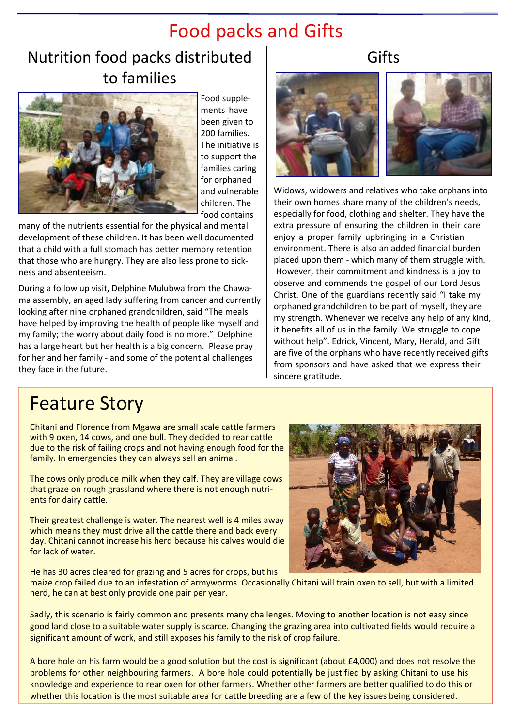## Food packs and Gifts

### Nutrition food packs distributed to families



Food supplements have been given to 200 families. The initiative is to support the families caring for orphaned and vulnerable children. The food contains

many of the nutrients essential for the physical and mental development of these children. It has been well documented that a child with a full stomach has better memory retention that those who are hungry. They are also less prone to sickness and absenteeism.

During a follow up visit, Delphine Mulubwa from the Chawama assembly, an aged lady suffering from cancer and currently looking after nine orphaned grandchildren, said "The meals have helped by improving the health of people like myself and my family; the worry about daily food is no more." Delphine has a large heart but her health is a big concern. Please pray for her and her family - and some of the potential challenges they face in the future.

#### Gifts



Widows, widowers and relatives who take orphans into their own homes share many of the children's needs, especially for food, clothing and shelter. They have the extra pressure of ensuring the children in their care enjoy a proper family upbringing in a Christian environment. There is also an added financial burden placed upon them - which many of them struggle with. However, their commitment and kindness is a joy to observe and commends the gospel of our Lord Jesus Christ. One of the guardians recently said "I take my orphaned grandchildren to be part of myself, they are my strength. Whenever we receive any help of any kind, it benefits all of us in the family. We struggle to cope without help". Edrick, Vincent, Mary, Herald, and Gift are five of the orphans who have recently received gifts from sponsors and have asked that we express their sincere gratitude.

## Feature Story

Chitani and Florence from Mgawa are small scale cattle farmers with 9 oxen, 14 cows, and one bull. They decided to rear cattle due to the risk of failing crops and not having enough food for the family. In emergencies they can always sell an animal.

The cows only produce milk when they calf. They are village cows that graze on rough grassland where there is not enough nutrients for dairy cattle.

Their greatest challenge is water. The nearest well is 4 miles away which means they must drive all the cattle there and back every day. Chitani cannot increase his herd because his calves would die for lack of water.

He has 30 acres cleared for grazing and 5 acres for crops, but his



maize crop failed due to an infestation of armyworms. Occasionally Chitani will train oxen to sell, but with a limited herd, he can at best only provide one pair per year.

Sadly, this scenario is fairly common and presents many challenges. Moving to another location is not easy since good land close to a suitable water supply is scarce. Changing the grazing area into cultivated fields would require a significant amount of work, and still exposes his family to the risk of crop failure.

A bore hole on his farm would be a good solution but the cost is significant (about £4,000) and does not resolve the problems for other neighbouring farmers. A bore hole could potentially be justified by asking Chitani to use his knowledge and experience to rear oxen for other farmers. Whether other farmers are better qualified to do this or whether this location is the most suitable area for cattle breeding are a few of the key issues being considered.